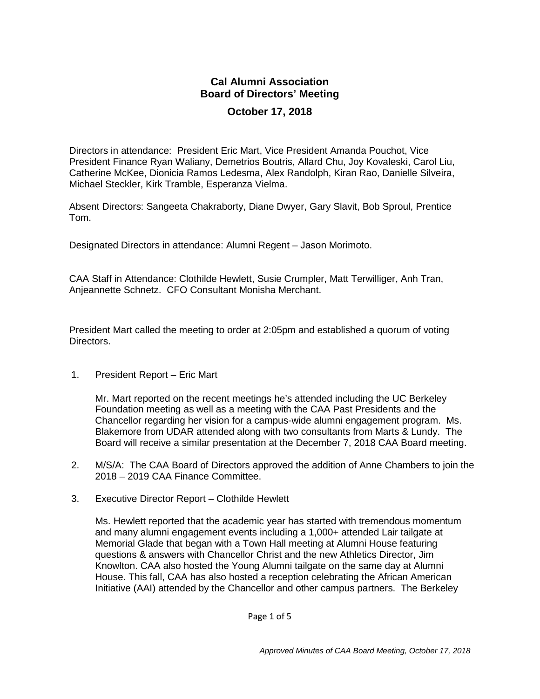## **Cal Alumni Association Board of Directors' Meeting October 17, 2018**

Directors in attendance: President Eric Mart, Vice President Amanda Pouchot, Vice President Finance Ryan Waliany, Demetrios Boutris, Allard Chu, Joy Kovaleski, Carol Liu, Catherine McKee, Dionicia Ramos Ledesma, Alex Randolph, Kiran Rao, Danielle Silveira, Michael Steckler, Kirk Tramble, Esperanza Vielma.

Absent Directors: Sangeeta Chakraborty, Diane Dwyer, Gary Slavit, Bob Sproul, Prentice Tom.

Designated Directors in attendance: Alumni Regent – Jason Morimoto.

CAA Staff in Attendance: Clothilde Hewlett, Susie Crumpler, Matt Terwilliger, Anh Tran, Anjeannette Schnetz. CFO Consultant Monisha Merchant.

President Mart called the meeting to order at 2:05pm and established a quorum of voting Directors.

1. President Report – Eric Mart

Mr. Mart reported on the recent meetings he's attended including the UC Berkeley Foundation meeting as well as a meeting with the CAA Past Presidents and the Chancellor regarding her vision for a campus-wide alumni engagement program. Ms. Blakemore from UDAR attended along with two consultants from Marts & Lundy. The Board will receive a similar presentation at the December 7, 2018 CAA Board meeting.

- 2. M/S/A: The CAA Board of Directors approved the addition of Anne Chambers to join the 2018 – 2019 CAA Finance Committee.
- 3. Executive Director Report Clothilde Hewlett

Ms. Hewlett reported that the academic year has started with tremendous momentum and many alumni engagement events including a 1,000+ attended Lair tailgate at Memorial Glade that began with a Town Hall meeting at Alumni House featuring questions & answers with Chancellor Christ and the new Athletics Director, Jim Knowlton. CAA also hosted the Young Alumni tailgate on the same day at Alumni House. This fall, CAA has also hosted a reception celebrating the African American Initiative (AAI) attended by the Chancellor and other campus partners. The Berkeley

Page 1 of 5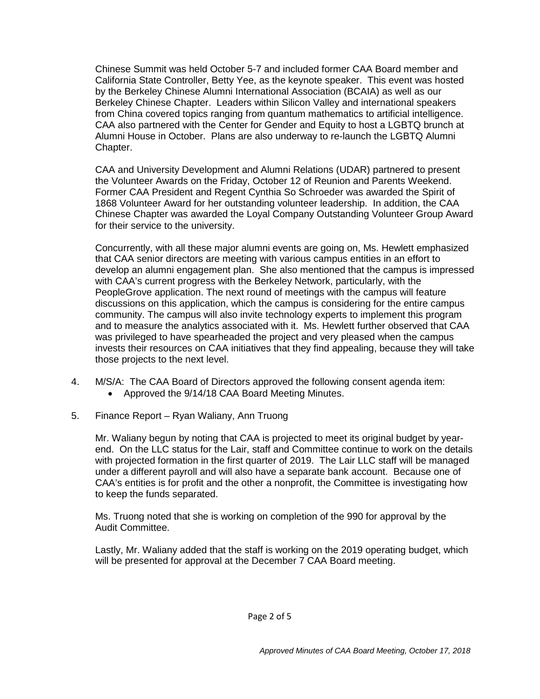Chinese Summit was held October 5-7 and included former CAA Board member and California State Controller, Betty Yee, as the keynote speaker. This event was hosted by the Berkeley Chinese Alumni International Association (BCAIA) as well as our Berkeley Chinese Chapter. Leaders within Silicon Valley and international speakers from China covered topics ranging from quantum mathematics to artificial intelligence. CAA also partnered with the Center for Gender and Equity to host a LGBTQ brunch at Alumni House in October. Plans are also underway to re-launch the LGBTQ Alumni Chapter.

CAA and University Development and Alumni Relations (UDAR) partnered to present the Volunteer Awards on the Friday, October 12 of Reunion and Parents Weekend. Former CAA President and Regent Cynthia So Schroeder was awarded the Spirit of 1868 Volunteer Award for her outstanding volunteer leadership. In addition, the CAA Chinese Chapter was awarded the Loyal Company Outstanding Volunteer Group Award for their service to the university.

Concurrently, with all these major alumni events are going on, Ms. Hewlett emphasized that CAA senior directors are meeting with various campus entities in an effort to develop an alumni engagement plan. She also mentioned that the campus is impressed with CAA's current progress with the Berkeley Network, particularly, with the PeopleGrove application. The next round of meetings with the campus will feature discussions on this application, which the campus is considering for the entire campus community. The campus will also invite technology experts to implement this program and to measure the analytics associated with it. Ms. Hewlett further observed that CAA was privileged to have spearheaded the project and very pleased when the campus invests their resources on CAA initiatives that they find appealing, because they will take those projects to the next level.

- 4. M/S/A: The CAA Board of Directors approved the following consent agenda item:
	- Approved the 9/14/18 CAA Board Meeting Minutes.
- 5. Finance Report Ryan Waliany, Ann Truong

Mr. Waliany begun by noting that CAA is projected to meet its original budget by yearend. On the LLC status for the Lair, staff and Committee continue to work on the details with projected formation in the first quarter of 2019. The Lair LLC staff will be managed under a different payroll and will also have a separate bank account. Because one of CAA's entities is for profit and the other a nonprofit, the Committee is investigating how to keep the funds separated.

Ms. Truong noted that she is working on completion of the 990 for approval by the Audit Committee.

Lastly, Mr. Waliany added that the staff is working on the 2019 operating budget, which will be presented for approval at the December 7 CAA Board meeting.

Page 2 of 5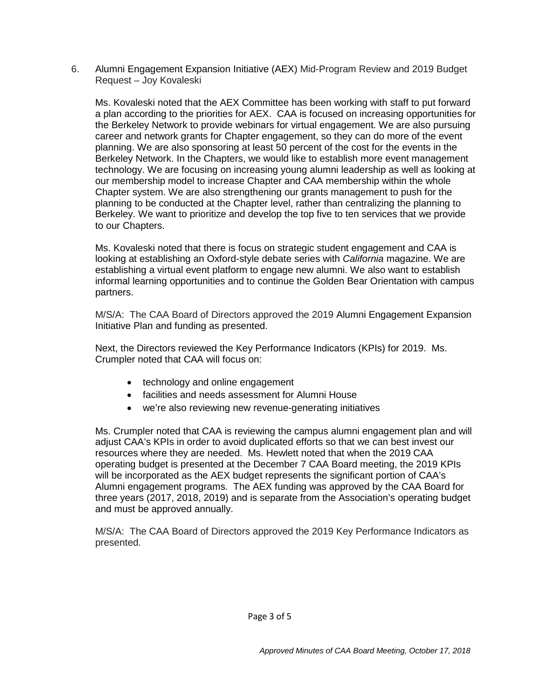6. Alumni Engagement Expansion Initiative (AEX) Mid-Program Review and 2019 Budget Request – Joy Kovaleski

Ms. Kovaleski noted that the AEX Committee has been working with staff to put forward a plan according to the priorities for AEX. CAA is focused on increasing opportunities for the Berkeley Network to provide webinars for virtual engagement. We are also pursuing career and network grants for Chapter engagement, so they can do more of the event planning. We are also sponsoring at least 50 percent of the cost for the events in the Berkeley Network. In the Chapters, we would like to establish more event management technology. We are focusing on increasing young alumni leadership as well as looking at our membership model to increase Chapter and CAA membership within the whole Chapter system. We are also strengthening our grants management to push for the planning to be conducted at the Chapter level, rather than centralizing the planning to Berkeley. We want to prioritize and develop the top five to ten services that we provide to our Chapters.

Ms. Kovaleski noted that there is focus on strategic student engagement and CAA is looking at establishing an Oxford-style debate series with *California* magazine. We are establishing a virtual event platform to engage new alumni. We also want to establish informal learning opportunities and to continue the Golden Bear Orientation with campus partners.

M/S/A: The CAA Board of Directors approved the 2019 Alumni Engagement Expansion Initiative Plan and funding as presented.

Next, the Directors reviewed the Key Performance Indicators (KPIs) for 2019. Ms. Crumpler noted that CAA will focus on:

- technology and online engagement
- facilities and needs assessment for Alumni House
- we're also reviewing new revenue-generating initiatives

Ms. Crumpler noted that CAA is reviewing the campus alumni engagement plan and will adjust CAA's KPIs in order to avoid duplicated efforts so that we can best invest our resources where they are needed. Ms. Hewlett noted that when the 2019 CAA operating budget is presented at the December 7 CAA Board meeting, the 2019 KPIs will be incorporated as the AEX budget represents the significant portion of CAA's Alumni engagement programs. The AEX funding was approved by the CAA Board for three years (2017, 2018, 2019) and is separate from the Association's operating budget and must be approved annually.

M/S/A: The CAA Board of Directors approved the 2019 Key Performance Indicators as presented.

Page 3 of 5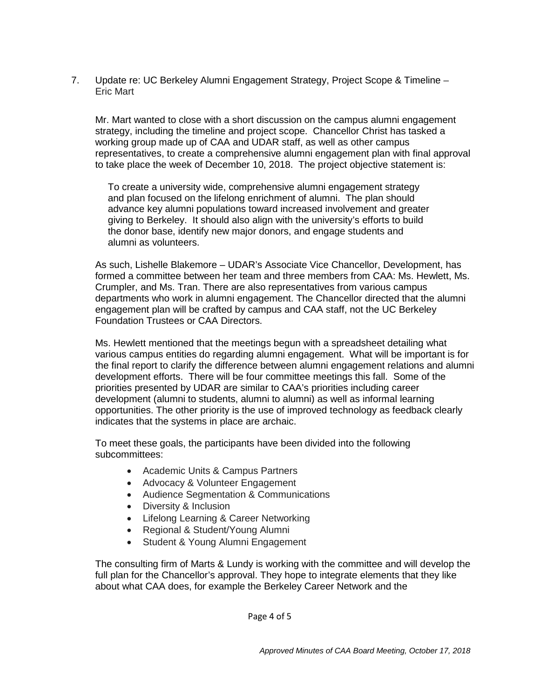7. Update re: UC Berkeley Alumni Engagement Strategy, Project Scope & Timeline – Eric Mart

Mr. Mart wanted to close with a short discussion on the campus alumni engagement strategy, including the timeline and project scope. Chancellor Christ has tasked a working group made up of CAA and UDAR staff, as well as other campus representatives, to create a comprehensive alumni engagement plan with final approval to take place the week of December 10, 2018. The project objective statement is:

To create a university wide, comprehensive alumni engagement strategy and plan focused on the lifelong enrichment of alumni. The plan should advance key alumni populations toward increased involvement and greater giving to Berkeley. It should also align with the university's efforts to build the donor base, identify new major donors, and engage students and alumni as volunteers.

As such, Lishelle Blakemore – UDAR's Associate Vice Chancellor, Development, has formed a committee between her team and three members from CAA: Ms. Hewlett, Ms. Crumpler, and Ms. Tran. There are also representatives from various campus departments who work in alumni engagement. The Chancellor directed that the alumni engagement plan will be crafted by campus and CAA staff, not the UC Berkeley Foundation Trustees or CAA Directors.

Ms. Hewlett mentioned that the meetings begun with a spreadsheet detailing what various campus entities do regarding alumni engagement. What will be important is for the final report to clarify the difference between alumni engagement relations and alumni development efforts. There will be four committee meetings this fall. Some of the priorities presented by UDAR are similar to CAA's priorities including career development (alumni to students, alumni to alumni) as well as informal learning opportunities. The other priority is the use of improved technology as feedback clearly indicates that the systems in place are archaic.

To meet these goals, the participants have been divided into the following subcommittees:

- Academic Units & Campus Partners
- Advocacy & Volunteer Engagement
- Audience Segmentation & Communications
- Diversity & Inclusion
- Lifelong Learning & Career Networking
- Regional & Student/Young Alumni
- Student & Young Alumni Engagement

The consulting firm of Marts & Lundy is working with the committee and will develop the full plan for the Chancellor's approval. They hope to integrate elements that they like about what CAA does, for example the Berkeley Career Network and the

Page 4 of 5